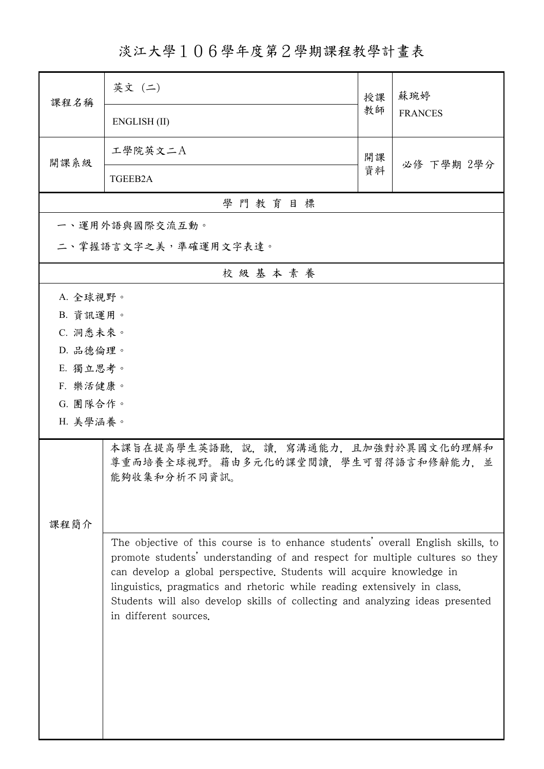淡江大學106學年度第2學期課程教學計畫表

| 課程名稱                                                                                                                                                                                                                                                                                                                                                                                                                          | 英文 (二)                                                                                     | 授課 | 蘇琬婷<br><b>FRANCES</b> |
|-------------------------------------------------------------------------------------------------------------------------------------------------------------------------------------------------------------------------------------------------------------------------------------------------------------------------------------------------------------------------------------------------------------------------------|--------------------------------------------------------------------------------------------|----|-----------------------|
|                                                                                                                                                                                                                                                                                                                                                                                                                               | ENGLISH (II)                                                                               | 教師 |                       |
| 開課系級                                                                                                                                                                                                                                                                                                                                                                                                                          | 工學院英文二A                                                                                    | 開課 | 必修 下學期 2學分            |
|                                                                                                                                                                                                                                                                                                                                                                                                                               | TGEEB2A                                                                                    | 資料 |                       |
|                                                                                                                                                                                                                                                                                                                                                                                                                               | 學門教育目標                                                                                     |    |                       |
|                                                                                                                                                                                                                                                                                                                                                                                                                               | 一、運用外語與國際交流互動。                                                                             |    |                       |
| 二、掌握語言文字之美,準確運用文字表達。                                                                                                                                                                                                                                                                                                                                                                                                          |                                                                                            |    |                       |
|                                                                                                                                                                                                                                                                                                                                                                                                                               | 校級基本素養                                                                                     |    |                       |
| A. 全球視野。                                                                                                                                                                                                                                                                                                                                                                                                                      |                                                                                            |    |                       |
| B. 資訊運用。                                                                                                                                                                                                                                                                                                                                                                                                                      |                                                                                            |    |                       |
| C. 洞悉未來。                                                                                                                                                                                                                                                                                                                                                                                                                      |                                                                                            |    |                       |
| D. 品德倫理。                                                                                                                                                                                                                                                                                                                                                                                                                      |                                                                                            |    |                       |
| E. 獨立思考。                                                                                                                                                                                                                                                                                                                                                                                                                      |                                                                                            |    |                       |
| F. 樂活健康。                                                                                                                                                                                                                                                                                                                                                                                                                      |                                                                                            |    |                       |
| G. 團隊合作。<br>H. 美學涵養。                                                                                                                                                                                                                                                                                                                                                                                                          |                                                                                            |    |                       |
|                                                                                                                                                                                                                                                                                                                                                                                                                               |                                                                                            |    |                       |
|                                                                                                                                                                                                                                                                                                                                                                                                                               | 本課旨在提高學生英語聽,說,讀,寫溝通能力,且加強對於異國文化的理解和<br>尊重而培養全球視野。藉由多元化的課堂閱讀,學生可習得語言和修辭能力,並<br>能夠收集和分析不同資訊。 |    |                       |
|                                                                                                                                                                                                                                                                                                                                                                                                                               |                                                                                            |    |                       |
| 課程簡介                                                                                                                                                                                                                                                                                                                                                                                                                          |                                                                                            |    |                       |
| The objective of this course is to enhance students' overall English skills, to<br>promote students' understanding of and respect for multiple cultures so they<br>can develop a global perspective. Students will acquire knowledge in<br>linguistics, pragmatics and rhetoric while reading extensively in class.<br>Students will also develop skills of collecting and analyzing ideas presented<br>in different sources. |                                                                                            |    |                       |
|                                                                                                                                                                                                                                                                                                                                                                                                                               |                                                                                            |    |                       |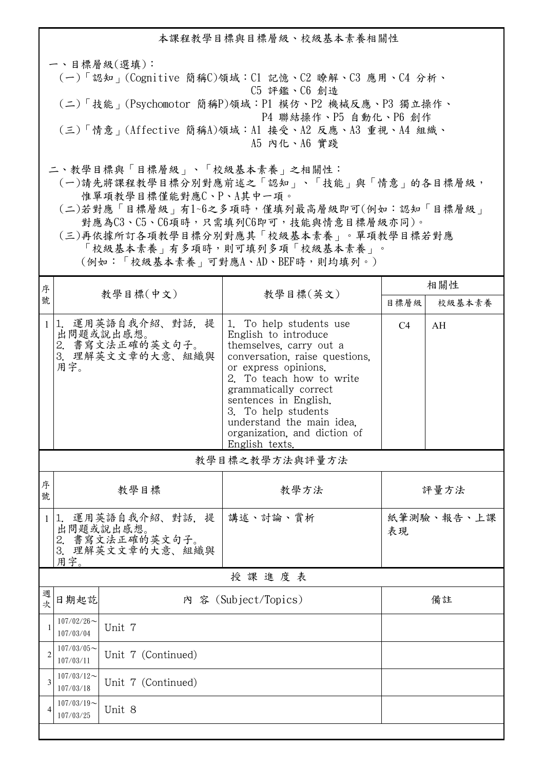本課程教學目標與目標層級、校級基本素養相關性 一、目標層級(選填): (一)「認知」(Cognitive 簡稱C)領域:C1 記憶、C2 瞭解、C3 應用、C4 分析、 C5 評鑑、C6 創造 (二)「技能」(Psychomotor 簡稱P)領域:P1 模仿、P2 機械反應、P3 獨立操作、 P4 聯結操作、P5 自動化、P6 創作 (三)「情意」(Affective 簡稱A)領域:A1 接受、A2 反應、A3 重視、A4 組織、 A5 內化、A6 實踐 二、教學目標與「目標層級」、「校級基本素養」之相關性:

 (一)請先將課程教學目標分別對應前述之「認知」、「技能」與「情意」的各目標層級, 惟單項教學目標僅能對應C、P、A其中一項。

 (二)若對應「目標層級」有1~6之多項時,僅填列最高層級即可(例如:認知「目標層級」 對應為C3、C5、C6項時,只需填列C6即可,技能與情意目標層級亦同)。

 (三)再依據所訂各項教學目標分別對應其「校級基本素養」。單項教學目標若對應 「校級基本素養」有多項時,則可填列多項「校級基本素養」。

(例如:「校級基本素養」可對應A、AD、BEF時,則均填列。)

| 序              |                            |                                                                       | 教學目標(英文)                                                                                                                                                                                                                                                                                                                 | 相關性            |            |  |  |
|----------------|----------------------------|-----------------------------------------------------------------------|--------------------------------------------------------------------------------------------------------------------------------------------------------------------------------------------------------------------------------------------------------------------------------------------------------------------------|----------------|------------|--|--|
| 號              |                            | 教學目標(中文)                                                              |                                                                                                                                                                                                                                                                                                                          | 目標層級           | 校級基本素養     |  |  |
| -1             | 用字。                        | 1. 運用英語自我介紹、對話, 提<br>出問題或說出感想。<br>2. 書寫文法正確的英文句子。<br>3. 理解英文文章的大意、組織與 | 1. To help students use<br>English to introduce<br>themselves, carry out a<br>conversation, raise questions,<br>or express opinions.<br>2. To teach how to write<br>grammatically correct<br>sentences in English.<br>3. To help students<br>understand the main idea.<br>organization, and diction of<br>English texts. | C <sub>4</sub> | AH         |  |  |
|                | 教學目標之教學方法與評量方法             |                                                                       |                                                                                                                                                                                                                                                                                                                          |                |            |  |  |
| 序<br>號         | 教學目標                       |                                                                       | 教學方法                                                                                                                                                                                                                                                                                                                     | 評量方法           |            |  |  |
| $\mathbf{1}$   | 用字。                        | 1. 運用英語自我介紹、對話, 提<br>出問題或說出感想。<br>2. 書寫文法正確的英文句子。<br>3. 理解英文文章的大意、組織與 | 講述、討論、賞析                                                                                                                                                                                                                                                                                                                 | 表現             | 紙筆測驗、報告、上課 |  |  |
| 授課進度表          |                            |                                                                       |                                                                                                                                                                                                                                                                                                                          |                |            |  |  |
| 週<br>次         | 日期起訖                       |                                                                       | 內 容 (Subject/Topics)                                                                                                                                                                                                                                                                                                     |                | 備註         |  |  |
| $\mathbf{1}$   | $107/02/26$ ~<br>107/03/04 | Unit 7                                                                |                                                                                                                                                                                                                                                                                                                          |                |            |  |  |
| $\overline{2}$ | $107/03/05$ ~<br>107/03/11 | Unit 7 (Continued)                                                    |                                                                                                                                                                                                                                                                                                                          |                |            |  |  |
| $\overline{3}$ | $107/03/12$ ~<br>107/03/18 | Unit 7 (Continued)                                                    |                                                                                                                                                                                                                                                                                                                          |                |            |  |  |
| $\overline{4}$ | $107/03/19$ ~<br>107/03/25 | Unit 8                                                                |                                                                                                                                                                                                                                                                                                                          |                |            |  |  |
|                |                            |                                                                       |                                                                                                                                                                                                                                                                                                                          |                |            |  |  |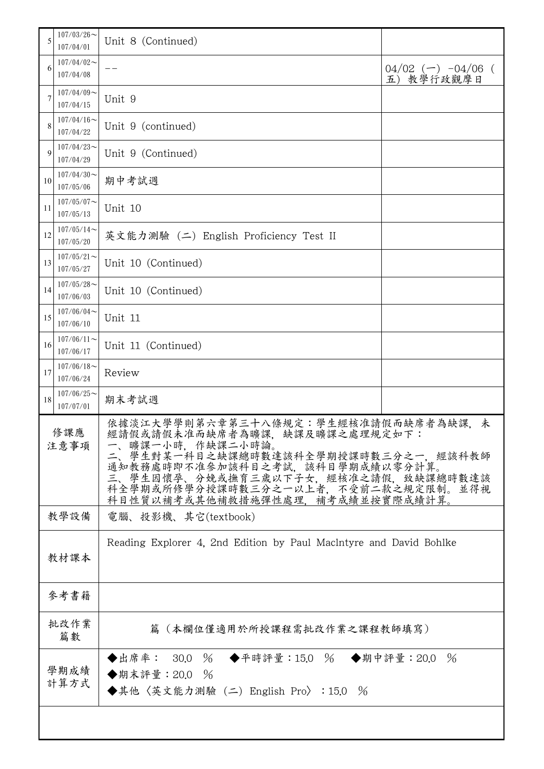| 5           | $107/03/26$ ~<br>107/04/01 | Unit 8 (Continued)                                                                                                                                                                                                                                                                    |                                      |  |
|-------------|----------------------------|---------------------------------------------------------------------------------------------------------------------------------------------------------------------------------------------------------------------------------------------------------------------------------------|--------------------------------------|--|
| 6           | $107/04/02$ ~<br>107/04/08 |                                                                                                                                                                                                                                                                                       | $04/02$ (-) $-04/06$ (<br>五) 教學行政觀摩日 |  |
| 7           | $107/04/09$ ~<br>107/04/15 | Unit 9                                                                                                                                                                                                                                                                                |                                      |  |
| 8           | $107/04/16$ ~<br>107/04/22 | Unit 9 (continued)                                                                                                                                                                                                                                                                    |                                      |  |
| 9           | $107/04/23$ ~<br>107/04/29 | Unit 9 (Continued)                                                                                                                                                                                                                                                                    |                                      |  |
| 10          | $107/04/30$ ~<br>107/05/06 | 期中考試週                                                                                                                                                                                                                                                                                 |                                      |  |
| 11          | $107/05/07$ ~<br>107/05/13 | Unit 10                                                                                                                                                                                                                                                                               |                                      |  |
| 12          | $107/05/14$ ~<br>107/05/20 | 英文能力測驗 (二) English Proficiency Test II                                                                                                                                                                                                                                                |                                      |  |
| 13          | $107/05/21$ ~<br>107/05/27 | Unit 10 (Continued)                                                                                                                                                                                                                                                                   |                                      |  |
| 14          | $107/05/28$ ~<br>107/06/03 | Unit 10 (Continued)                                                                                                                                                                                                                                                                   |                                      |  |
| 15          | $107/06/04$ ~<br>107/06/10 | Unit 11                                                                                                                                                                                                                                                                               |                                      |  |
| 16          | $107/06/11$ ~<br>107/06/17 | Unit 11 (Continued)                                                                                                                                                                                                                                                                   |                                      |  |
| 17          | $107/06/18$ ~<br>107/06/24 | Review                                                                                                                                                                                                                                                                                |                                      |  |
| 18          | $107/06/25$ ~<br>107/07/01 | 期末考試週                                                                                                                                                                                                                                                                                 |                                      |  |
| 修課應<br>注意事項 |                            | 依據淡江大學學則第六章第三十八條規定:學生經核准請假而缺席者為缺課<br>未<br>經請假或請假未准而缺席者為曠課,缺課及曠課之處理規定如下:<br>一、曠課一小時,作缺課二小時論。<br>二、學生對某一科目之缺課總時數達該科全學期授課時數三分之一,經該科教師<br>通知教務處時即不准參加該科目之考試,該科目學期成績以零分計算。<br>學生因懷孕、分娩或撫育三歲以下子女,經核准之請假,致缺課總時數達該<br>科全學期或所修學分授課時數三分之一以上者,不受前二款之規定限制。並得視<br>科目性質以補考或其他補救措施彈性處理,補考成績並按實際成績計算。 |                                      |  |
|             | 教學設備                       | 電腦、投影機、其它(textbook)                                                                                                                                                                                                                                                                   |                                      |  |
|             | 教材課本                       | Reading Explorer 4, 2nd Edition by Paul Macintyre and David Bohlke                                                                                                                                                                                                                    |                                      |  |
|             | 參考書籍                       |                                                                                                                                                                                                                                                                                       |                                      |  |
|             | 批改作業<br>篇數                 | 篇(本欄位僅適用於所授課程需批改作業之課程教師填寫)                                                                                                                                                                                                                                                            |                                      |  |
|             | 學期成績<br>計算方式               | ◆出席率: 30.0 % ◆平時評量:15.0 % ◆期中評量:20.0 %<br>◆期末評量: 20.0<br>$\frac{0}{6}$<br>◆其他〈英文能力測驗 (二) English Pro〉: 15.0 %                                                                                                                                                                         |                                      |  |
|             |                            |                                                                                                                                                                                                                                                                                       |                                      |  |